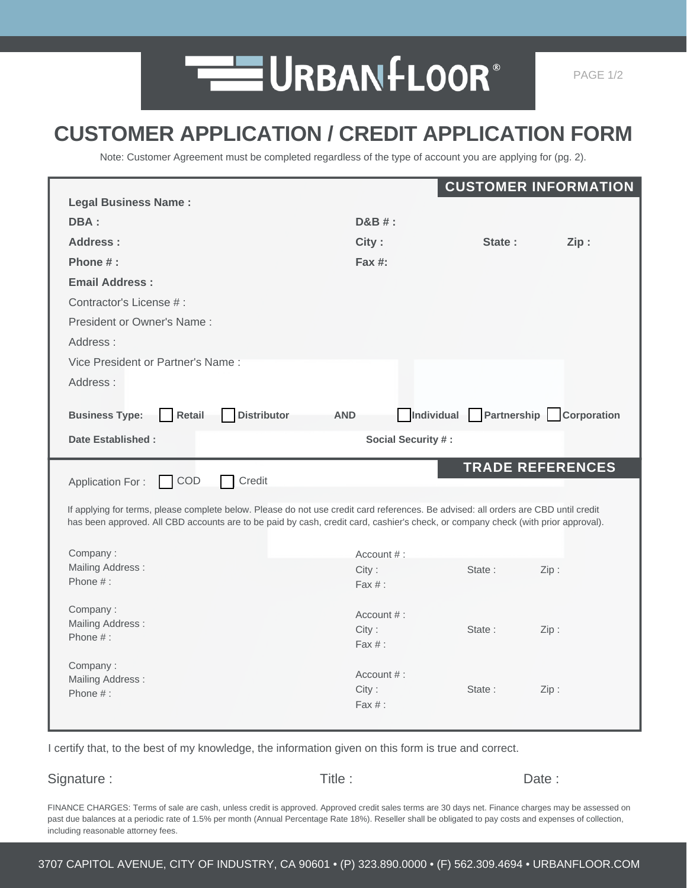

## **CUSTOMER APPLICATION / CREDIT APPLICATION FORM**

Note: Customer Agreement must be completed regardless of the type of account you are applying for (pg. 2).

|                                                                                                                                     |                           |        | <b>CUSTOMER INFORMATION</b> |
|-------------------------------------------------------------------------------------------------------------------------------------|---------------------------|--------|-----------------------------|
| <b>Legal Business Name:</b>                                                                                                         |                           |        |                             |
| DBA:                                                                                                                                | $D&B#$ :                  |        |                             |
| Address:                                                                                                                            | City:                     | State: | Zip:                        |
| Phone $#$ :                                                                                                                         | Fax $#$ :                 |        |                             |
| <b>Email Address:</b>                                                                                                               |                           |        |                             |
| Contractor's License #:                                                                                                             |                           |        |                             |
| President or Owner's Name:                                                                                                          |                           |        |                             |
| Address:                                                                                                                            |                           |        |                             |
| Vice President or Partner's Name:                                                                                                   |                           |        |                             |
| Address:                                                                                                                            |                           |        |                             |
|                                                                                                                                     |                           |        |                             |
| <b>Distributor</b><br><b>Business Type:</b><br>Retail                                                                               | Individual<br><b>AND</b>  |        | Partnership Corporation     |
| <b>Date Established:</b>                                                                                                            | Social Security #:        |        |                             |
|                                                                                                                                     |                           |        |                             |
|                                                                                                                                     |                           |        | <b>TRADE REFERENCES</b>     |
| COD<br>Credit<br><b>Application For:</b>                                                                                            |                           |        |                             |
| If applying for terms, please complete below. Please do not use credit card references. Be advised: all orders are CBD until credit |                           |        |                             |
| has been approved. All CBD accounts are to be paid by cash, credit card, cashier's check, or company check (with prior approval).   |                           |        |                             |
|                                                                                                                                     |                           |        |                             |
| Company:<br><b>Mailing Address:</b>                                                                                                 | Account $#$ :<br>City:    | State: | Zip:                        |
| Phone $#$ :                                                                                                                         | $\text{Fax } #:$          |        |                             |
| Company:                                                                                                                            |                           |        |                             |
| Mailing Address:                                                                                                                    | Account $#$ :             | State: |                             |
| Phone $#$ :                                                                                                                         | City:<br>$\text{Fax } #:$ |        | Zip:                        |
| Company:                                                                                                                            |                           |        |                             |
| Mailing Address:                                                                                                                    | Account $#$ :             |        |                             |
| Phone $#$ :                                                                                                                         | City:<br>$\text{Fax } #:$ | State: | Zip:                        |

I certify that, to the best of my knowledge, the information given on this form is true and correct.

Signature : Title : Title : Date : Date :

FINANCE CHARGES: Terms of sale are cash, unless credit is approved. Approved credit sales terms are 30 days net. Finance charges may be assessed on past due balances at a periodic rate of 1.5% per month (Annual Percentage Rate 18%). Reseller shall be obligated to pay costs and expenses of collection, including reasonable attorney fees.